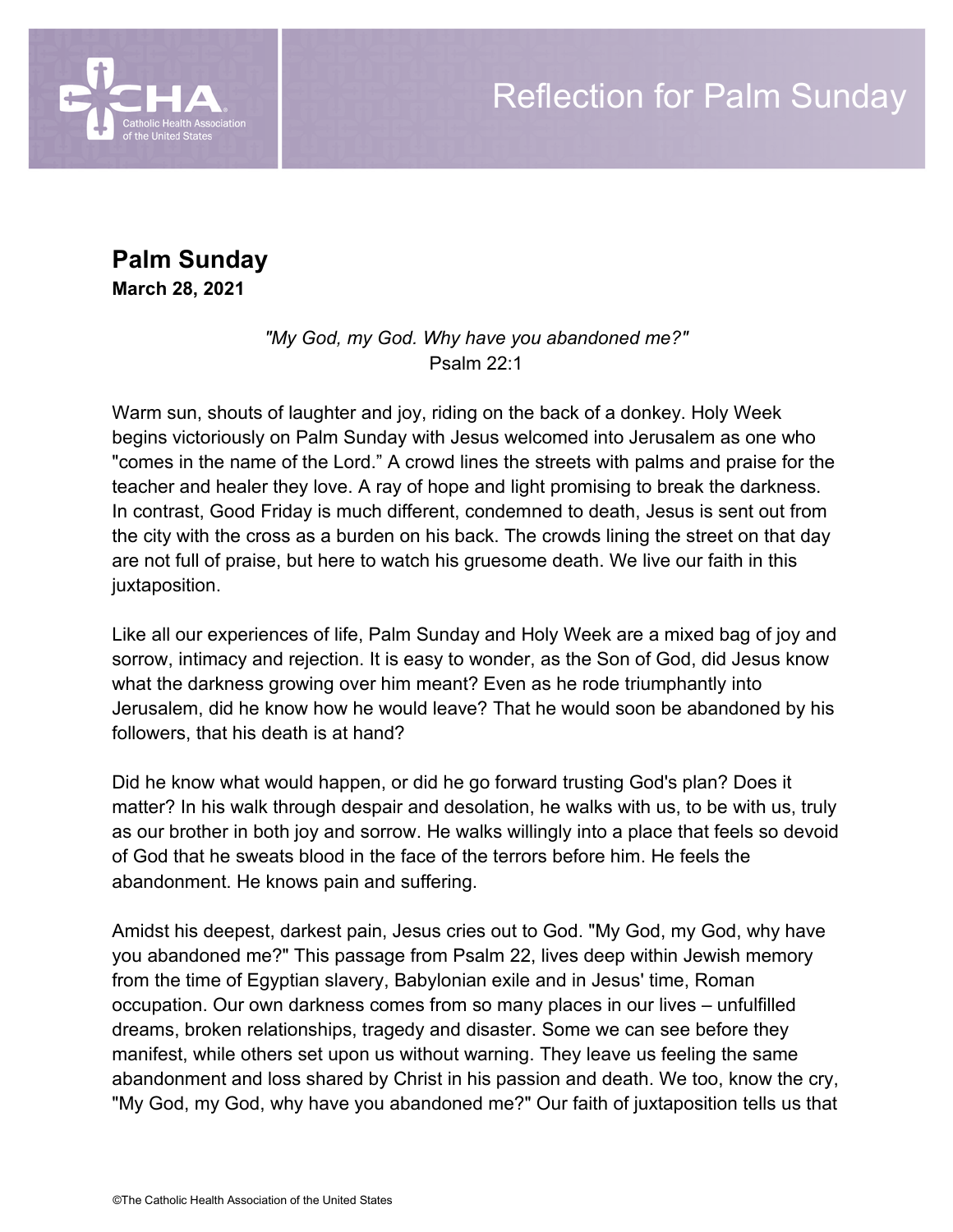

**Palm Sunday**

**March 28, 2021**

*"My God, my God. Why have you abandoned me?"* Psalm 22:1

Warm sun, shouts of laughter and joy, riding on the back of a donkey. Holy Week begins victoriously on Palm Sunday with Jesus welcomed into Jerusalem as one who "comes in the name of the Lord." A crowd lines the streets with palms and praise for the teacher and healer they love. A ray of hope and light promising to break the darkness. In contrast, Good Friday is much different, condemned to death, Jesus is sent out from the city with the cross as a burden on his back. The crowds lining the street on that day are not full of praise, but here to watch his gruesome death. We live our faith in this juxtaposition.

Like all our experiences of life, Palm Sunday and Holy Week are a mixed bag of joy and sorrow, intimacy and rejection. It is easy to wonder, as the Son of God, did Jesus know what the darkness growing over him meant? Even as he rode triumphantly into Jerusalem, did he know how he would leave? That he would soon be abandoned by his followers, that his death is at hand?

Did he know what would happen, or did he go forward trusting God's plan? Does it matter? In his walk through despair and desolation, he walks with us, to be with us, truly as our brother in both joy and sorrow. He walks willingly into a place that feels so devoid of God that he sweats blood in the face of the terrors before him. He feels the abandonment. He knows pain and suffering.

Amidst his deepest, darkest pain, Jesus cries out to God. "My God, my God, why have you abandoned me?" This passage from Psalm 22, lives deep within Jewish memory from the time of Egyptian slavery, Babylonian exile and in Jesus' time, Roman occupation. Our own darkness comes from so many places in our lives – unfulfilled dreams, broken relationships, tragedy and disaster. Some we can see before they manifest, while others set upon us without warning. They leave us feeling the same abandonment and loss shared by Christ in his passion and death. We too, know the cry, "My God, my God, why have you abandoned me?" Our faith of juxtaposition tells us that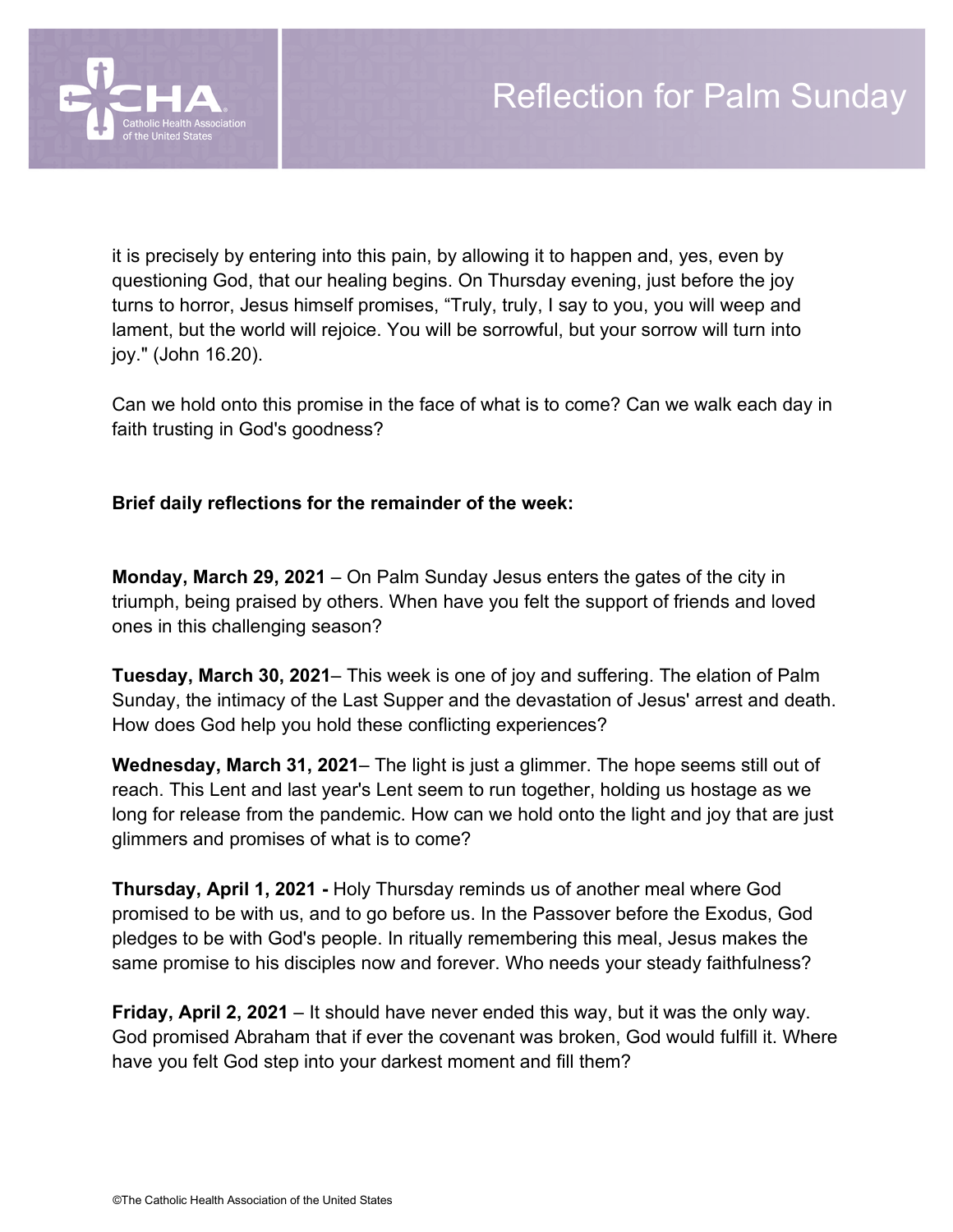

it is precisely by entering into this pain, by allowing it to happen and, yes, even by questioning God, that our healing begins. On Thursday evening, just before the joy turns to horror, Jesus himself promises, "Truly, truly, I say to you, you will weep and lament, but the world will rejoice. You will be sorrowful, but your sorrow will turn into joy." (John 16.20).

Can we hold onto this promise in the face of what is to come? Can we walk each day in faith trusting in God's goodness?

## **Brief daily reflections for the remainder of the week:**

**Monday, March 29, 2021** – On Palm Sunday Jesus enters the gates of the city in triumph, being praised by others. When have you felt the support of friends and loved ones in this challenging season?

**Tuesday, March 30, 2021**– This week is one of joy and suffering. The elation of Palm Sunday, the intimacy of the Last Supper and the devastation of Jesus' arrest and death. How does God help you hold these conflicting experiences?

**Wednesday, March 31, 2021**– The light is just a glimmer. The hope seems still out of reach. This Lent and last year's Lent seem to run together, holding us hostage as we long for release from the pandemic. How can we hold onto the light and joy that are just glimmers and promises of what is to come?

**Thursday, April 1, 2021 -** Holy Thursday reminds us of another meal where God promised to be with us, and to go before us. In the Passover before the Exodus, God pledges to be with God's people. In ritually remembering this meal, Jesus makes the same promise to his disciples now and forever. Who needs your steady faithfulness?

**Friday, April 2, 2021** – It should have never ended this way, but it was the only way. God promised Abraham that if ever the covenant was broken, God would fulfill it. Where have you felt God step into your darkest moment and fill them?